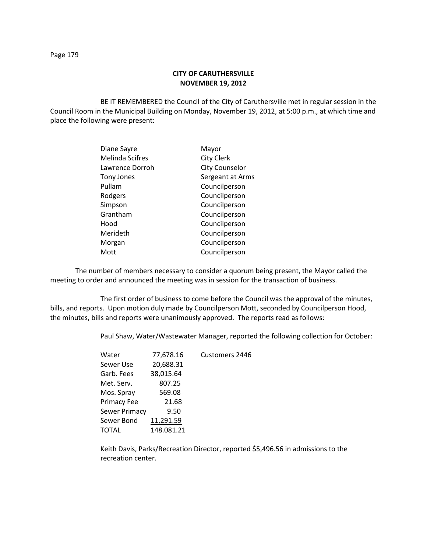## **CITY OF CARUTHERSVILLE NOVEMBER 19, 2012**

BE IT REMEMBERED the Council of the City of Caruthersville met in regular session in the Council Room in the Municipal Building on Monday, November 19, 2012, at 5:00 p.m., at which time and place the following were present:

| Diane Sayre            | Mayor                 |
|------------------------|-----------------------|
| <b>Melinda Scifres</b> | <b>City Clerk</b>     |
| Lawrence Dorroh        | <b>City Counselor</b> |
| Tony Jones             | Sergeant at Arms      |
| Pullam                 | Councilperson         |
| Rodgers                | Councilperson         |
| Simpson                | Councilperson         |
| Grantham               | Councilperson         |
| Hood                   | Councilperson         |
| Merideth               | Councilperson         |
| Morgan                 | Councilperson         |
| Mott                   | Councilperson         |

The number of members necessary to consider a quorum being present, the Mayor called the meeting to order and announced the meeting was in session for the transaction of business.

The first order of business to come before the Council was the approval of the minutes, bills, and reports. Upon motion duly made by Councilperson Mott, seconded by Councilperson Hood, the minutes, bills and reports were unanimously approved. The reports read as follows:

Paul Shaw, Water/Wastewater Manager, reported the following collection for October:

| Water                | 77,678.16  | Customers 2446 |
|----------------------|------------|----------------|
| Sewer Use            | 20,688.31  |                |
| Garb. Fees           | 38,015.64  |                |
| Met. Serv.           | 807.25     |                |
| Mos. Spray           | 569.08     |                |
| <b>Primacy Fee</b>   | 21.68      |                |
| <b>Sewer Primacy</b> | 9.50       |                |
| Sewer Bond           | 11,291.59  |                |
| TOTAL                | 148.081.21 |                |
|                      |            |                |

Keith Davis, Parks/Recreation Director, reported \$5,496.56 in admissions to the recreation center.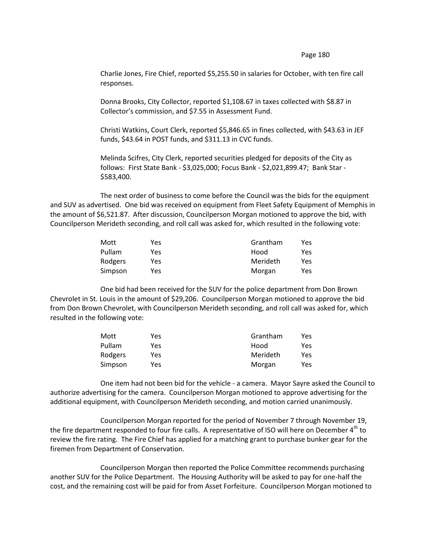## Page 180

Charlie Jones, Fire Chief, reported \$5,255.50 in salaries for October, with ten fire call responses.

Donna Brooks, City Collector, reported \$1,108.67 in taxes collected with \$8.87 in Collector's commission, and \$7.55 in Assessment Fund.

Christi Watkins, Court Clerk, reported \$5,846.65 in fines collected, with \$43.63 in JEF funds, \$43.64 in POST funds, and \$311.13 in CVC funds.

Melinda Scifres, City Clerk, reported securities pledged for deposits of the City as follows: First State Bank - \$3,025,000; Focus Bank - \$2,021,899.47; Bank Star - \$583,400.

The next order of business to come before the Council was the bids for the equipment and SUV as advertised. One bid was received on equipment from Fleet Safety Equipment of Memphis in the amount of \$6,521.87. After discussion, Councilperson Morgan motioned to approve the bid, with Councilperson Merideth seconding, and roll call was asked for, which resulted in the following vote:

| Mott    | Yes | Grantham | Yes |
|---------|-----|----------|-----|
| Pullam  | Yes | Hood     | Yes |
| Rodgers | Yes | Merideth | Yes |
| Simpson | Yes | Morgan   | Yes |

One bid had been received for the SUV for the police department from Don Brown Chevrolet in St. Louis in the amount of \$29,206. Councilperson Morgan motioned to approve the bid from Don Brown Chevrolet, with Councilperson Merideth seconding, and roll call was asked for, which resulted in the following vote:

| Mott    | Yes. | Grantham | Yes |
|---------|------|----------|-----|
| Pullam  | Yes. | Hood     | Yes |
| Rodgers | Yes  | Merideth | Yes |
| Simpson | Yes  | Morgan   | Yes |

One item had not been bid for the vehicle - a camera. Mayor Sayre asked the Council to authorize advertising for the camera. Councilperson Morgan motioned to approve advertising for the additional equipment, with Councilperson Merideth seconding, and motion carried unanimously.

Councilperson Morgan reported for the period of November 7 through November 19, the fire department responded to four fire calls. A representative of ISO will here on December 4<sup>th</sup> to review the fire rating. The Fire Chief has applied for a matching grant to purchase bunker gear for the firemen from Department of Conservation.

Councilperson Morgan then reported the Police Committee recommends purchasing another SUV for the Police Department. The Housing Authority will be asked to pay for one-half the cost, and the remaining cost will be paid for from Asset Forfeiture. Councilperson Morgan motioned to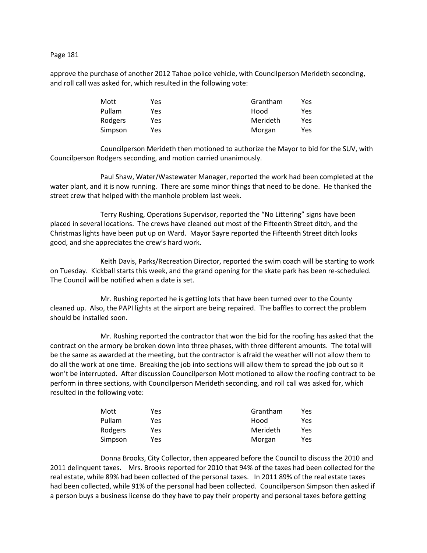## Page 181

approve the purchase of another 2012 Tahoe police vehicle, with Councilperson Merideth seconding, and roll call was asked for, which resulted in the following vote:

| Mott    | Yes | Grantham | Yes |
|---------|-----|----------|-----|
| Pullam  | Yes | Hood     | Yes |
| Rodgers | Yes | Merideth | Yes |
| Simpson | Yes | Morgan   | Yes |

Councilperson Merideth then motioned to authorize the Mayor to bid for the SUV, with Councilperson Rodgers seconding, and motion carried unanimously.

Paul Shaw, Water/Wastewater Manager, reported the work had been completed at the water plant, and it is now running. There are some minor things that need to be done. He thanked the street crew that helped with the manhole problem last week.

Terry Rushing, Operations Supervisor, reported the "No Littering" signs have been placed in several locations. The crews have cleaned out most of the Fifteenth Street ditch, and the Christmas lights have been put up on Ward. Mayor Sayre reported the Fifteenth Street ditch looks good, and she appreciates the crew's hard work.

Keith Davis, Parks/Recreation Director, reported the swim coach will be starting to work on Tuesday. Kickball starts this week, and the grand opening for the skate park has been re-scheduled. The Council will be notified when a date is set.

Mr. Rushing reported he is getting lots that have been turned over to the County cleaned up. Also, the PAPI lights at the airport are being repaired. The baffles to correct the problem should be installed soon.

Mr. Rushing reported the contractor that won the bid for the roofing has asked that the contract on the armory be broken down into three phases, with three different amounts. The total will be the same as awarded at the meeting, but the contractor is afraid the weather will not allow them to do all the work at one time. Breaking the job into sections will allow them to spread the job out so it won't be interrupted. After discussion Councilperson Mott motioned to allow the roofing contract to be perform in three sections, with Councilperson Merideth seconding, and roll call was asked for, which resulted in the following vote:

| Mott    | Yes | Grantham | Yes |
|---------|-----|----------|-----|
| Pullam  | Yes | Hood     | Yes |
| Rodgers | Yes | Merideth | Yes |
| Simpson | Yes | Morgan   | Yes |

Donna Brooks, City Collector, then appeared before the Council to discuss the 2010 and 2011 delinquent taxes. Mrs. Brooks reported for 2010 that 94% of the taxes had been collected for the real estate, while 89% had been collected of the personal taxes. In 2011 89% of the real estate taxes had been collected, while 91% of the personal had been collected. Councilperson Simpson then asked if a person buys a business license do they have to pay their property and personal taxes before getting